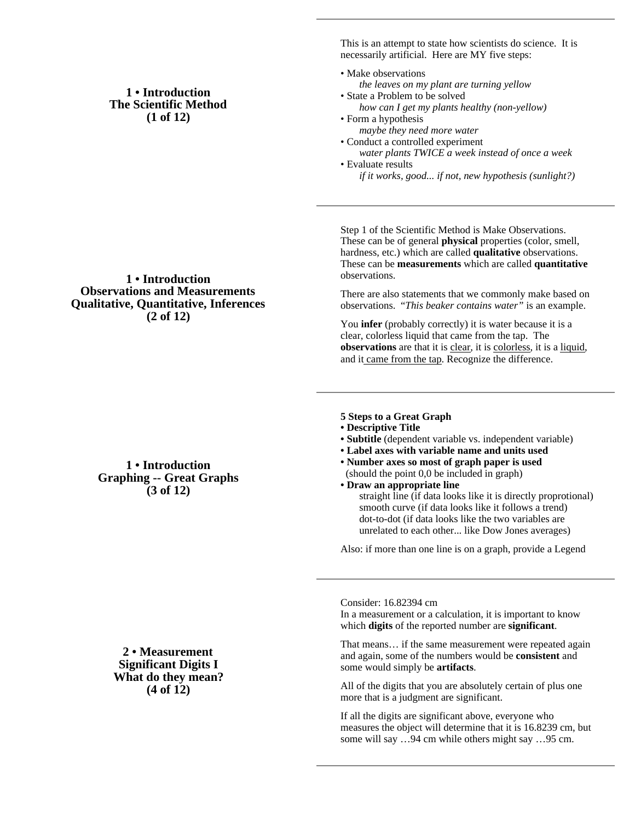## **1 • Introduction The Scientific Method (1 of 12)**

## **1 • Introduction Observations and Measurements Qualitative, Quantitative, Inferences (2 of 12)**

## **1 • Introduction Graphing -- Great Graphs (3 of 12)**

**2 • Measurement Significant Digits I What do they mean? (4 of 12)**

This is an attempt to state how scientists do science. It is necessarily artificial. Here are MY five steps:

- Make observations *the leaves on my plant are turning yellow* • State a Problem to be solved
- *how can I get my plants healthy (non-yellow)* • Form a hypothesis
- *maybe they need more water* • Conduct a controlled experiment
- *water plants TWICE a week instead of once a week* • Evaluate results
	- *if it works, good... if not, new hypothesis (sunlight?)*

Step 1 of the Scientific Method is Make Observations. These can be of general **physical** properties (color, smell, hardness, etc.) which are called **qualitative** observations. These can be **measurements** which are called **quantitative** observations.

There are also statements that we commonly make based on observations. "*This beaker contains water"* is an example.

You **infer** (probably correctly) it is water because it is a clear, colorless liquid that came from the tap. The **observations** are that it is clear, it is colorless, it is a liquid, and it came from the tap. Recognize the difference.

- **5 Steps to a Great Graph**
- **Descriptive Title**
- **Subtitle** (dependent variable vs. independent variable)
- **Label axes with variable name and units used**
- **Number axes so most of graph paper is used** (should the point 0,0 be included in graph)
- **Draw an appropriate line** straight line (if data looks like it is directly proprotional) smooth curve (if data looks like it follows a trend) dot-to-dot (if data looks like the two variables are unrelated to each other... like Dow Jones averages)

Also: if more than one line is on a graph, provide a Legend

Consider: 16.82394 cm

In a measurement or a calculation, it is important to know which **digits** of the reported number are **significant**.

That means… if the same measurement were repeated again and again, some of the numbers would be **consistent** and some would simply be **artifacts**.

All of the digits that you are absolutely certain of plus one more that is a judgment are significant.

If all the digits are significant above, everyone who measures the object will determine that it is 16.8239 cm, but some will say …94 cm while others might say …95 cm.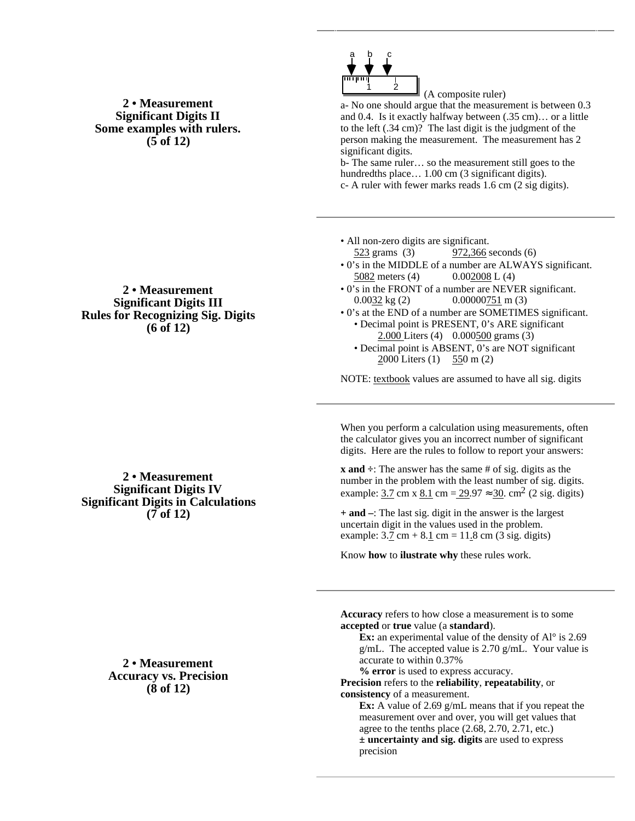**2 • Measurement Significant Digits II Some examples with rulers. (5 of 12)**



 (A composite ruler) a- No one should argue that the measurement is between 0.3 and 0.4. Is it exactly halfway between (.35 cm)… or a little to the left (.34 cm)? The last digit is the judgment of the person making the measurement. The measurement has 2 significant digits.

b- The same ruler… so the measurement still goes to the hundredths place... 1.00 cm (3 significant digits).

c- A ruler with fewer marks reads 1.6 cm (2 sig digits).

- All non-zero digits are significant. 523 grams (3) 972,366 seconds (6)
- 0's in the MIDDLE of a number are ALWAYS significant. 5082 meters (4)  $0.002008 \text{ L} (4)$
- 0's in the FRONT of a number are NEVER significant.  $0.0032 \text{ kg} (2)$  0.00000751 m (3)
- 0's at the END of a number are SOMETIMES significant. • Decimal point is PRESENT, 0's ARE significant 2.000 Liters (4) 0.000500 grams (3)
	- Decimal point is ABSENT, 0's are NOT significant 2000 Liters (1) 550 m (2)

NOTE: textbook values are assumed to have all sig. digits

When you perform a calculation using measurements, often the calculator gives you an incorrect number of significant digits. Here are the rules to follow to report your answers:

**x** and  $\div$ : The answer has the same # of sig. digits as the number in the problem with the least number of sig. digits. example: 3.7 cm x 8.1 cm = 29.97 30. cm<sup>2</sup> (2 sig. digits)

**+ and –**: The last sig. digit in the answer is the largest uncertain digit in the values used in the problem. example:  $3.7 \text{ cm} + 8.1 \text{ cm} = 11.8 \text{ cm}$  (3 sig. digits)

Know **how** to **ilustrate why** these rules work.

**Accuracy** refers to how close a measurement is to some **accepted** or **true** value (a **standard**).

**Ex:** an experimental value of the density of Al<sup>o</sup> is 2.69 g/mL. The accepted value is 2.70 g/mL. Your value is accurate to within 0.37%

**% error** is used to express accuracy. **Precision** refers to the **reliability**, **repeatability**, or **consistency** of a measurement.

**Ex:** A value of 2.69 g/mL means that if you repeat the measurement over and over, you will get values that agree to the tenths place (2.68, 2.70, 2.71, etc.) **± uncertainty and sig. digits** are used to express precision

## **2 • Measurement Significant Digits III Rules for Recognizing Sig. Digits (6 of 12)**

**2 • Measurement Significant Digits IV Significant Digits in Calculations (7 of 12)**

> **2 • Measurement Accuracy vs. Precision (8 of 12)**